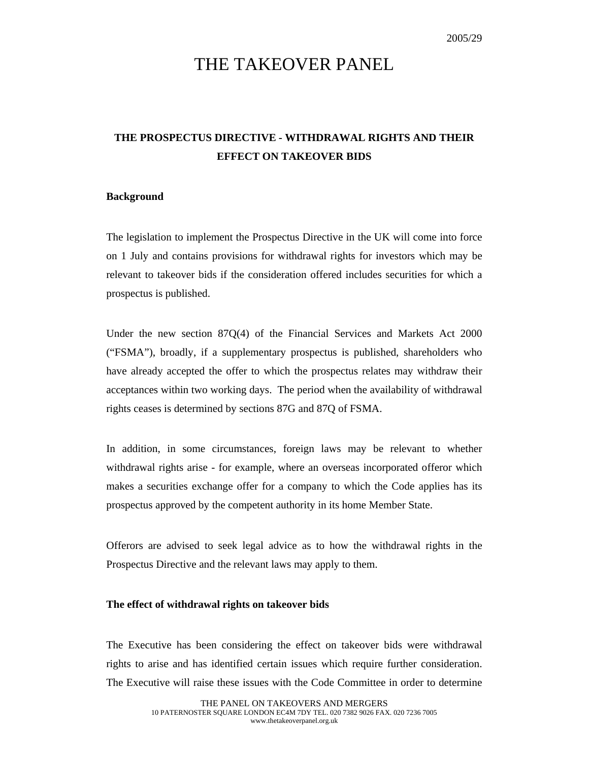# THE TAKEOVER PANEL

## **THE PROSPECTUS DIRECTIVE - WITHDRAWAL RIGHTS AND THEIR EFFECT ON TAKEOVER BIDS**

#### **Background**

The legislation to implement the Prospectus Directive in the UK will come into force on 1 July and contains provisions for withdrawal rights for investors which may be relevant to takeover bids if the consideration offered includes securities for which a prospectus is published.

Under the new section 87Q(4) of the Financial Services and Markets Act 2000 ("FSMA"), broadly, if a supplementary prospectus is published, shareholders who have already accepted the offer to which the prospectus relates may withdraw their acceptances within two working days. The period when the availability of withdrawal rights ceases is determined by sections 87G and 87Q of FSMA.

In addition, in some circumstances, foreign laws may be relevant to whether withdrawal rights arise - for example, where an overseas incorporated offeror which makes a securities exchange offer for a company to which the Code applies has its prospectus approved by the competent authority in its home Member State.

Offerors are advised to seek legal advice as to how the withdrawal rights in the Prospectus Directive and the relevant laws may apply to them.

### **The effect of withdrawal rights on takeover bids**

The Executive has been considering the effect on takeover bids were withdrawal rights to arise and has identified certain issues which require further consideration. The Executive will raise these issues with the Code Committee in order to determine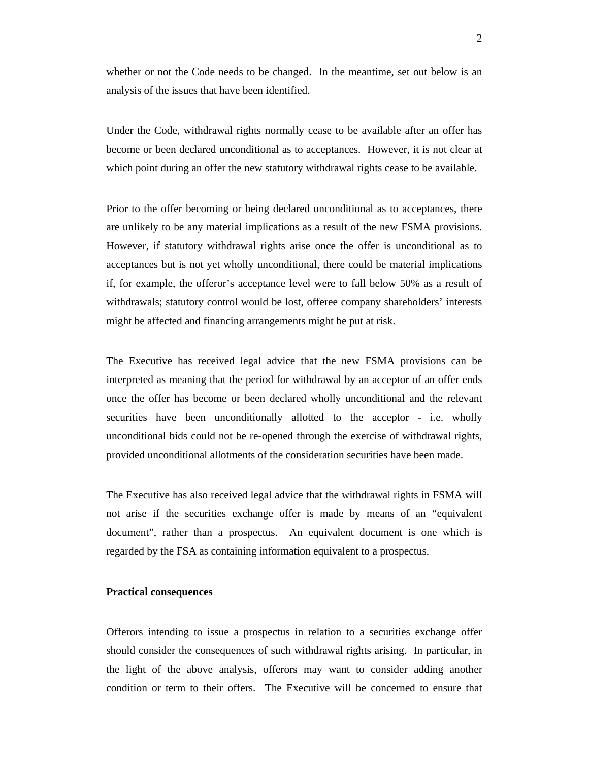whether or not the Code needs to be changed. In the meantime, set out below is an analysis of the issues that have been identified.

Under the Code, withdrawal rights normally cease to be available after an offer has become or been declared unconditional as to acceptances. However, it is not clear at which point during an offer the new statutory withdrawal rights cease to be available.

Prior to the offer becoming or being declared unconditional as to acceptances, there are unlikely to be any material implications as a result of the new FSMA provisions. However, if statutory withdrawal rights arise once the offer is unconditional as to acceptances but is not yet wholly unconditional, there could be material implications if, for example, the offeror's acceptance level were to fall below 50% as a result of withdrawals; statutory control would be lost, offeree company shareholders' interests might be affected and financing arrangements might be put at risk.

The Executive has received legal advice that the new FSMA provisions can be interpreted as meaning that the period for withdrawal by an acceptor of an offer ends once the offer has become or been declared wholly unconditional and the relevant securities have been unconditionally allotted to the acceptor - i.e. wholly unconditional bids could not be re-opened through the exercise of withdrawal rights, provided unconditional allotments of the consideration securities have been made.

The Executive has also received legal advice that the withdrawal rights in FSMA will not arise if the securities exchange offer is made by means of an "equivalent document", rather than a prospectus. An equivalent document is one which is regarded by the FSA as containing information equivalent to a prospectus.

#### **Practical consequences**

Offerors intending to issue a prospectus in relation to a securities exchange offer should consider the consequences of such withdrawal rights arising. In particular, in the light of the above analysis, offerors may want to consider adding another condition or term to their offers. The Executive will be concerned to ensure that